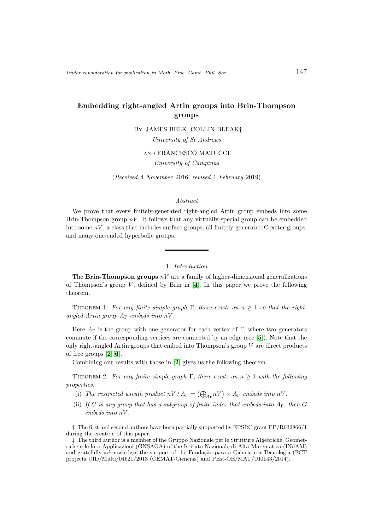# Embedding right-angled Artin groups into Brin-Thompson groups

By JAMES BELK, COLLIN BLEAK†

University of St Andrews

and FRANCESCO MATUCCI‡

University of Campinas

(Received 4 November 2016; revised 1 February 2019)

## Abstract

We prove that every finitely-generated right-angled Artin group embeds into some Brin-Thompson group  $nV$ . It follows that any virtually special group can be embedded into some  $nV$ , a class that includes surface groups, all finitely-generated Coxeter groups, and many one-ended hyperbolic groups.

## 1. Introduction

The **Brin-Thompson groups**  $nV$  are a family of higher-dimensional generalizations of Thompson's group  $V$ , defined by Brin in  $[4]$  $[4]$  $[4]$ . In this paper we prove the following theorem.

<span id="page-0-0"></span>THEOREM 1. For any finite simple graph  $\Gamma$ , there exists an  $n \geq 1$  so that the rightangled Artin group  $A_{\Gamma}$  embeds into nV.

Here  $A_{\Gamma}$  is the group with one generator for each vertex of Γ, where two generators commute if the corresponding vertices are connected by an edge (see [[5](#page-3-1)]). Note that the only right-angled Artin groups that embed into Thompson's group  $V$  are direct products of free groups [[2](#page-3-2), [6](#page-3-3)].

Combining our results with those in [[2](#page-3-2)] gives us the following theorem.

THEOREM 2. For any finite simple graph  $\Gamma$ , there exists an  $n \geq 1$  with the following properties:

- (i) The restricted wreath product  $nV \wr A_{\Gamma} = (\bigoplus_{A_{\Gamma}} nV) \rtimes A_{\Gamma}$  embeds into  $nV$ .
- (ii) If G is any group that has a subgroup of finite index that embeds into  $A_{\Gamma}$ , then G embeds into nV .

† The first and second authors have been partially supported by EPSRC grant EP/R032866/1 during the creation of this paper.

<sup>‡</sup> The third author is a member of the Gruppo Nazionale per le Strutture Algebriche, Geometriche e le loro Applicazioni (GNSAGA) of the Istituto Nazionale di Alta Matematica (INdAM) and gratefully acknowledges the support of the Fundação para a Ciência e a Tecnologia (FCT projects UID/Multi/04621/2013 (CEMAT-Ciências) and PEst-OE/MAT/UI0143/2014).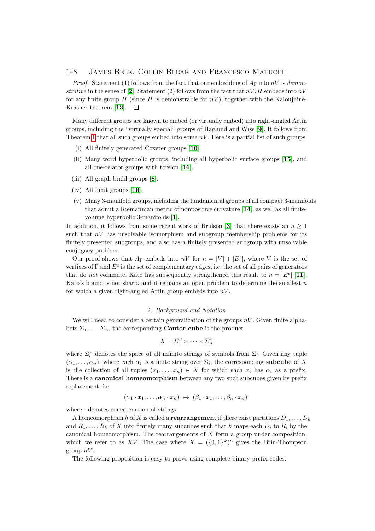### 148 James Belk, Collin Bleak and Francesco Matucci

*Proof.* Statement (1) follows from the fact that our embedding of  $A<sub>\Gamma</sub>$  into nV is demon-strative in the sense of [[2](#page-3-2)]. Statement (2) follows from the fact that  $nV$  embeds into  $nV$ for any finite group H (since H is demonstrable for  $nV$ ), together with the Kaloujnine-Krasner theorem [[13](#page-4-0)].  $\Box$ 

Many different groups are known to embed (or virtually embed) into right-angled Artin groups, including the "virtually special" groups of Haglund and Wise [[9](#page-3-4)]. It follows from Theorem [1](#page-0-0) that all such groups embed into some  $nV$ . Here is a partial list of such groups:

- (i) All finitely generated Coxeter groups [[10](#page-3-5)].
- (ii) Many word hyperbolic groups, including all hyperbolic surface groups [[15](#page-4-1)], and all one-relator groups with torsion [[16](#page-4-2)].
- (iii) All graph braid groups [[8](#page-3-6)].
- (iv) All limit groups [[16](#page-4-2)].
- (v) Many 3-manifold groups, including the fundamental groups of all compact 3-manifolds that admit a Riemannian metric of nonpositive curvature [[14](#page-4-3)], as well as all finitevolume hyperbolic 3-manifolds [[1](#page-3-7)].

In addition, it follows from some recent work of Bridson [[3](#page-3-8)] that there exists an  $n \geq 1$ such that  $nV$  has unsolvable isomorphism and subgroup membership problems for its finitely presented subgroups, and also has a finitely presented subgroup with unsolvable conjugacy problem.

Our proof shows that  $A_{\Gamma}$  embeds into  $nV$  for  $n = |V| + |E^c|$ , where V is the set of vertices of  $\Gamma$  and  $E^c$  is the set of complementary edges, i.e. the set of all pairs of generators that do *not* commute. Kato has subsequently strengthened this result to  $n = |E^c|$  [[11](#page-3-9)]. Kato's bound is not sharp, and it remains an open problem to determine the smallest  $n$ for which a given right-angled Artin group embeds into  $nV$ .

#### 2. Background and Notation

We will need to consider a certain generalization of the groups  $nV$ . Given finite alphabets  $\Sigma_1, \ldots, \Sigma_n$ , the corresponding **Cantor cube** is the product

$$
X = \Sigma_1^{\omega} \times \cdots \times \Sigma_n^{\omega}
$$

where  $\Sigma_i^{\omega}$  denotes the space of all infinite strings of symbols from  $\Sigma_i$ . Given any tuple  $(\alpha_1, \ldots, \alpha_n)$ , where each  $\alpha_i$  is a finite string over  $\Sigma_i$ , the corresponding **subcube** of X is the collection of all tuples  $(x_1, \ldots, x_n) \in X$  for which each  $x_i$  has  $\alpha_i$  as a prefix. There is a canonical homeomorphism between any two such subcubes given by prefix replacement, i.e.

$$
(\alpha_1 \cdot x_1, \ldots, \alpha_n \cdot x_n) \mapsto (\beta_1 \cdot x_1, \ldots, \beta_n \cdot x_n).
$$

where  $\cdot$  denotes concatenation of strings.

A homeomorphism h of X is called a **rearrangement** if there exist partitions  $D_1, \ldots, D_k$ and  $R_1, \ldots, R_k$  of X into finitely many subcubes such that h maps each  $D_i$  to  $R_i$  by the canonical homeomorphism. The rearrangements of X form a group under composition, which we refer to as XV. The case where  $X = (\{0,1\}^{\omega})^n$  gives the Brin-Thompson group  $nV$ .

The following proposition is easy to prove using complete binary prefix codes.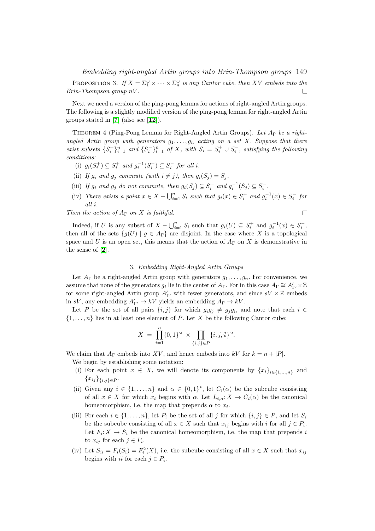Embedding right-angled Artin groups into Brin-Thompson groups 149

PROPOSITION 3. If  $X = \sum_{1}^{\omega} \times \cdots \times \sum_{n}^{\omega}$  is any Cantor cube, then XV embeds into the Brin-Thompson group nV .  $\Box$ 

Next we need a version of the ping-pong lemma for actions of right-angled Artin groups. The following is a slightly modified version of the ping-pong lemma for right-angled Artin groups stated in  $[7]$  $[7]$  $[7]$  (also see  $[12]$  $[12]$  $[12]$ ).

<span id="page-2-0"></span>THEOREM 4 (Ping-Pong Lemma for Right-Angled Artin Groups). Let A<sub>Γ</sub> be a rightangled Artin group with generators  $g_1, \ldots, g_n$  acting on a set X. Suppose that there exist subsets  $\{S_i^+\}_{i=1}^n$  and  $\{S_i^-\}_{i=1}^n$  of X, with  $S_i = S_i^+ \cup S_i^-$ , satisfying the following conditions:

- (i)  $g_i(S_i^+) \subseteq S_i^+$  and  $g_i^{-1}(S_i^-) \subseteq S_i^-$  for all i.
- (ii) If  $g_i$  and  $g_j$  commute (with  $i \neq j$ ), then  $g_i(S_j) = S_j$ .
- (iii) If  $g_i$  and  $g_j$  do not commute, then  $g_i(S_j) \subseteq S_i^+$  and  $g_i^{-1}(S_j) \subseteq S_i^-$ .
- (iv) There exists a point  $x \in X \bigcup_{i=1}^{n} S_i$  such that  $g_i(x) \in S_i^+$  and  $g_i^{-1}(x) \in S_i^-$  for all i.

Then the action of  $A_{\Gamma}$  on X is faithful.

$$
\qquad \qquad \Box
$$

Indeed, if U is any subset of  $X - \bigcup_{i=1}^n S_i$  such that  $g_i(U) \subseteq S_i^+$  and  $g_i^{-1}(x) \in S_i^-$ , then all of the sets  $\{g(U) \mid g \in A_{\Gamma}\}\$  are disjoint. In the case where X is a topological space and U is an open set, this means that the action of  $A_{\Gamma}$  on X is demonstrative in the sense of [[2](#page-3-2)].

#### 3. Embedding Right-Angled Artin Groups

Let  $A_{\Gamma}$  be a right-angled Artin group with generators  $g_1, \ldots, g_n$ . For convenience, we assume that none of the generators  $g_i$  lie in the center of  $A_\Gamma$ . For in this case  $A_\Gamma \cong A'_{\Gamma'} \times \mathbb{Z}$ for some right-angled Artin group  $A'_{\Gamma'}$  with fewer generators, and since  $sV \times \mathbb{Z}$  embeds in sV, any embedding  $A'_{\Gamma'} \to kV$  yields an embedding  $A_{\Gamma} \to kV$ .

Let P be the set of all pairs  $\{i, j\}$  for which  $g_i g_j \neq g_j g_i$ , and note that each  $i \in$  $\{1,\ldots,n\}$  lies in at least one element of P. Let X be the following Cantor cube:

$$
X = \prod_{i=1}^n \{0,1\}^\omega \times \prod_{\{i,j\} \in P} \{i,j,\emptyset\}^\omega.
$$

We claim that  $A_{\Gamma}$  embeds into XV, and hence embeds into kV for  $k = n + |P|$ .

We begin by establishing some notation:

- (i) For each point  $x \in X$ , we will denote its components by  $\{x_i\}_{i\in\{1,\ldots,n\}}$  and  ${x_{ij}}_{i,j\in P}$ .
- (ii) Given any  $i \in \{1, \ldots, n\}$  and  $\alpha \in \{0,1\}^*$ , let  $C_i(\alpha)$  be the subcube consisting of all  $x \in X$  for which  $x_i$  begins with  $\alpha$ . Let  $L_{i,\alpha}: X \to C_i(\alpha)$  be the canonical homeomorphism, i.e. the map that prepends  $\alpha$  to  $x_i$ .
- (iii) For each  $i \in \{1, \ldots, n\}$ , let  $P_i$  be the set of all j for which  $\{i, j\} \in P$ , and let  $S_i$ be the subcube consisting of all  $x \in X$  such that  $x_{ij}$  begins with i for all  $j \in P_i$ . Let  $F_i: X \to S_i$  be the canonical homeomorphism, i.e. the map that prepends i to  $x_{ij}$  for each  $j \in P_i$ .
- (iv) Let  $S_{ii} = F_i(S_i) = F_i^2(X)$ , i.e. the subcube consisting of all  $x \in X$  such that  $x_{ij}$ begins with *ii* for each  $j \in P_i$ .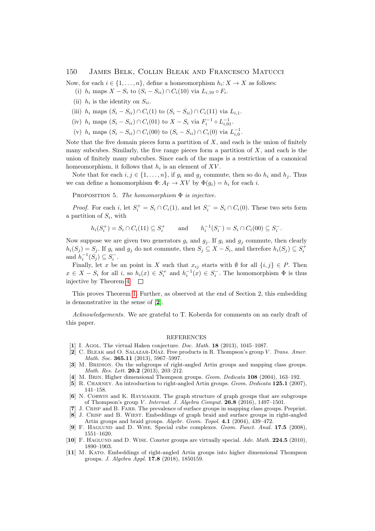### 150 James Belk, Collin Bleak and Francesco Matucci

Now, for each  $i \in \{1, \ldots, n\}$ , define a homeomorphism  $h_i: X \to X$  as follows:

- (i)  $h_i$  maps  $X S_i$  to  $(S_i S_{ii}) \cap C_i(10)$  via  $L_{i,10} \circ F_i$ .
- (ii)  $h_i$  is the identity on  $S_{ii}$ .
- (iii)  $h_i$  maps  $(S_i S_{ii}) \cap C_i(1)$  to  $(S_i S_{ii}) \cap C_i(11)$  via  $L_{i,1}$ .
- (iv)  $h_i$  maps  $(S_i S_{ii}) \cap C_i(01)$  to  $X S_i$  via  $F_i^{-1} \circ L_{i,01}^{-1}$ .
- (v)  $h_i$  maps  $(S_i S_{ii}) \cap C_i(00)$  to  $(S_i S_{ii}) \cap C_i(0)$  via  $L_{i,0}^{-1}$ .

Note that the five domain pieces form a partition of  $X$ , and each is the union of finitely many subcubes. Similarly, the five range pieces form a partition of  $X$ , and each is the union of finitely many subcubes. Since each of the maps is a restriction of a canonical homeomorphism, it follows that  $h_i$  is an element of  $XV$ .

Note that for each  $i, j \in \{1, ..., n\}$ , if  $g_i$  and  $g_j$  commute, then so do  $h_i$  and  $h_j$ . Thus we can define a homomorphism  $\Phi: A_{\Gamma} \to XV$  by  $\Phi(g_i) = h_i$  for each i.

PROPOSITION 5. The homomorphism  $\Phi$  is injective.

*Proof.* For each i, let  $S_i^+ = S_i \cap C_i(1)$ , and let  $S_i^- = S_i \cap C_i(0)$ . These two sets form a partition of  $S_i$ , with

$$
h_i(S_i^+) = S_i \cap C_i(11) \subseteq S_i^+
$$
 and  $h_i^{-1}(S_i^-) = S_i \cap C_i(00) \subseteq S_i^-.$ 

Now suppose we are given two generators  $g_i$  and  $g_j$ . If  $g_i$  and  $g_j$  commute, then clearly  $h_i(S_j) = S_j$ . If  $g_i$  and  $g_j$  do not commute, then  $S_j \subseteq X - S_i$ , and therefore  $h_i(S_j) \subseteq S_i^+$ and  $h_i^{-1}(S_j) \subseteq S_i^-$ .

Finally, let x be an point in X such that  $x_{ij}$  starts with Ø for all  $\{i, j\} \in P$ . Then  $x \in X - S_i$  for all i, so  $h_i(x) \in S_i^+$  and  $h_i^{-1}(x) \in S_i^-$ . The homomorphism  $\Phi$  is thus injective by Theorem [4.](#page-2-0)  $\Box$ 

This proves Theorem [1.](#page-0-0) Further, as observed at the end of Section 2, this embedding is demonstrative in the sense of [[2](#page-3-2)].

Acknowledgements. We are grateful to T. Koberda for comments on an early draft of this paper.

#### REFERENCES

- <span id="page-3-7"></span>[1] I. Agol. The virtual Haken conjecture. *Doc. Math.* **18** (2013), 1045-1087.
- <span id="page-3-2"></span>[2] C. BLEAK and O. SALAZAR-DÍAZ. Free products in R. Thompson's group V. Trans. Amer. Math. Soc. **365.11** (2013), 5967-5997.
- <span id="page-3-8"></span>[3] M. BRIDSON. On the subgroups of right-angled Artin groups and mapping class groups. Math. Res. Lett. 20.2 (2013), 203–212.
- <span id="page-3-0"></span>[4] M. BRIN. Higher dimensional Thompson groups. Geom. Dedicata 108 (2004), 163-192.
- <span id="page-3-1"></span>[5] R. CHARNEY. An introduction to right-angled Artin groups. Geom. Dedicata 125.1 (2007), 141–158.
- <span id="page-3-3"></span>[6] N. Corwin and K. Haymaker. The graph structure of graph groups that are subgroups of Thompson's group V. Internat. J. Algebra Comput.  $26.8$  (2016), 1497-1501.
- <span id="page-3-10"></span>[7] J. Crisp and B. Farb. The prevalence of surface groups in mapping class groups. Preprint.
- <span id="page-3-6"></span>[8] J. Crisp and B. Wiest. Embeddings of graph braid and surface groups in right-angled Artin groups and braid groups. Algebr. Geom. Topol. 4.1 (2004), 439–472.
- <span id="page-3-4"></span>[9] F. HAGLUND and D. WISE. Special cube complexes. Geom. Funct. Anal. 17.5 (2008), 1551–1620.
- <span id="page-3-5"></span>[10] F. HAGLUND and D. WISE. Coxeter groups are virtually special. Adv. Math. 224.5 (2010), 1890–1903.
- <span id="page-3-9"></span>[11] M. Kato. Embeddings of right-angled Artin groups into higher dimensional Thompson groups. J. Algebra Appl. 17.8 (2018), 1850159.